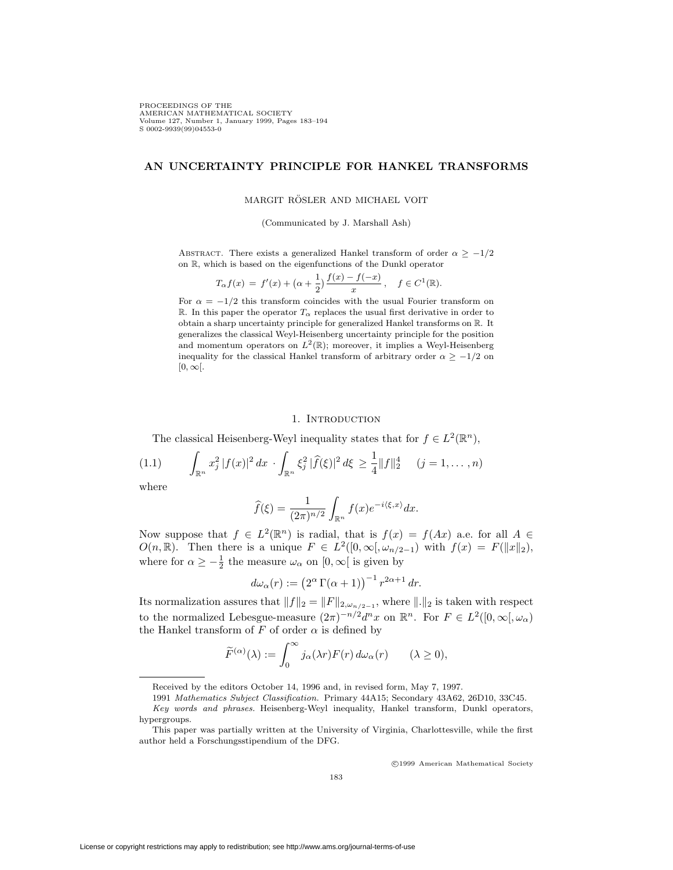PROCEEDINGS OF THE AMERICAN MATHEMATICAL SOCIETY<br>Volume 127, Number 1, January 1999, Pages 183–194<br>S 0002-9939(99)04553-0

## **AN UNCERTAINTY PRINCIPLE FOR HANKEL TRANSFORMS**

### MARGIT RÖSLER AND MICHAEL VOIT

(Communicated by J. Marshall Ash)

ABSTRACT. There exists a generalized Hankel transform of order  $\alpha \geq -1/2$ on R, which is based on the eigenfunctions of the Dunkl operator

$$
T_{\alpha}f(x) = f'(x) + (\alpha + \frac{1}{2})\frac{f(x) - f(-x)}{x}, \quad f \in C^1(\mathbb{R}).
$$

For  $\alpha = -1/2$  this transform coincides with the usual Fourier transform on R. In this paper the operator  $T_{\alpha}$  replaces the usual first derivative in order to obtain a sharp uncertainty principle for generalized Hankel transforms on R. It generalizes the classical Weyl-Heisenberg uncertainty principle for the position and momentum operators on  $L^2(\mathbb{R})$ ; moreover, it implies a Weyl-Heisenberg inequality for the classical Hankel transform of arbitrary order  $\alpha \geq -1/2$  on  $[0, \infty]$ .

#### 1. INTRODUCTION

The classical Heisenberg-Weyl inequality states that for  $f \in L^2(\mathbb{R}^n)$ ,

$$
(1.1) \qquad \int_{\mathbb{R}^n} x_j^2 |f(x)|^2 dx \cdot \int_{\mathbb{R}^n} \xi_j^2 |\widehat{f}(\xi)|^2 d\xi \ge \frac{1}{4} ||f||_2^4 \quad (j = 1, \dots, n)
$$

where

$$
\widehat{f}(\xi) = \frac{1}{(2\pi)^{n/2}} \int_{\mathbb{R}^n} f(x) e^{-i\langle \xi, x \rangle} dx.
$$

Now suppose that  $f \in L^2(\mathbb{R}^n)$  is radial, that is  $f(x) = f(Ax)$  a.e. for all  $A \in$ O(n, R). Then there is a unique  $F \in L^2([0,\infty[,\omega_{n/2-1})$  with  $f(x) = F(||x||_2)$ , where for  $\alpha \ge -\frac{1}{2}$  the measure  $\omega_{\alpha}$  on  $[0, \infty)$  is given by

$$
d\omega_{\alpha}(r) := \left(2^{\alpha} \Gamma(\alpha + 1)\right)^{-1} r^{2\alpha + 1} dr.
$$

Its normalization assures that  $||f||_2 = ||F||_{2,\omega_{n/2-1}}$ , where  $||.||_2$  is taken with respect to the normalized Lebesgue-measure  $(2\pi)^{-n/2}d^n x$  on  $\mathbb{R}^n$ . For  $F \in L^2([0,\infty],\omega_\alpha)$ the Hankel transform of F of order  $\alpha$  is defined by

$$
\widetilde{F}^{(\alpha)}(\lambda) := \int_0^\infty j_\alpha(\lambda r) F(r) d\omega_\alpha(r) \qquad (\lambda \ge 0),
$$

<sup>c</sup> 1999 American Mathematical Society

Received by the editors October 14, 1996 and, in revised form, May 7, 1997.

<sup>1991</sup> Mathematics Subject Classification. Primary 44A15; Secondary 43A62, 26D10, 33C45. Key words and phrases. Heisenberg-Weyl inequality, Hankel transform, Dunkl operators, hypergroups.

This paper was partially written at the University of Virginia, Charlottesville, while the first author held a Forschungsstipendium of the DFG.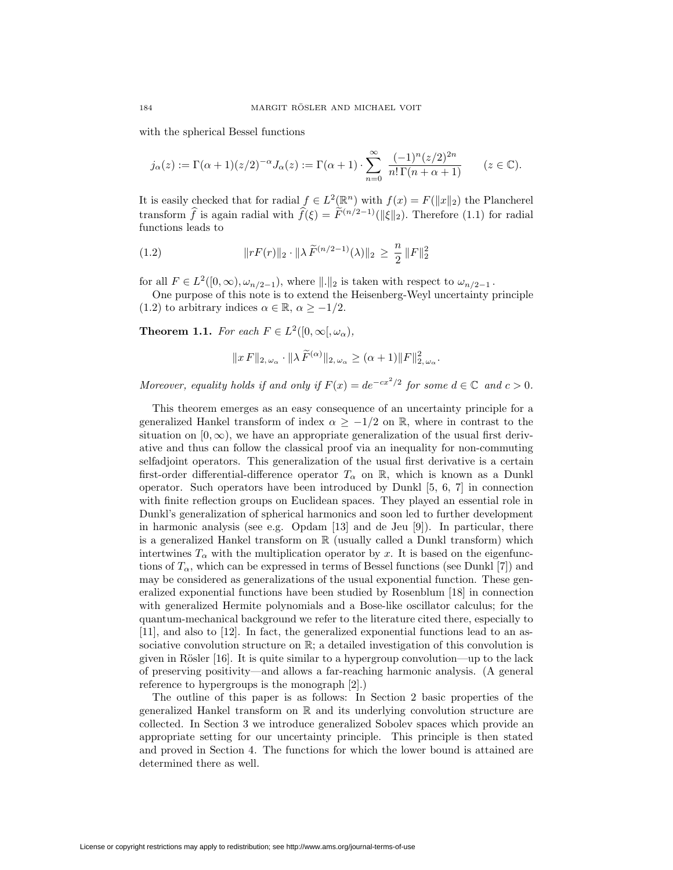with the spherical Bessel functions

$$
j_{\alpha}(z) := \Gamma(\alpha+1)(z/2)^{-\alpha} J_{\alpha}(z) := \Gamma(\alpha+1) \cdot \sum_{n=0}^{\infty} \frac{(-1)^n (z/2)^{2n}}{n! \Gamma(n+\alpha+1)}
$$
  $(z \in \mathbb{C}).$ 

It is easily checked that for radial  $f \in L^2(\mathbb{R}^n)$  with  $f(x) = F(||x||_2)$  the Plancherel transform  $\hat{f}$  is again radial with  $\hat{f}(\xi) = \tilde{F}^{(n/2-1)}(\|\xi\|_2)$ . Therefore (1.1) for radial functions leads to

(1.2) 
$$
||rF(r)||_2 \cdot ||\lambda \widetilde{F}^{(n/2-1)}(\lambda)||_2 \geq \frac{n}{2} ||F||_2^2
$$

for all  $F \in L^2([0,\infty), \omega_{n/2-1})$ , where  $\Vert . \Vert_2$  is taken with respect to  $\omega_{n/2-1}$ .

One purpose of this note is to extend the Heisenberg-Weyl uncertainty principle (1.2) to arbitrary indices  $\alpha \in \mathbb{R}$ ,  $\alpha \ge -1/2$ .

**Theorem 1.1.** *For each*  $F \in L^2([0, \infty[, \omega_\alpha)$ *,* 

$$
||x F||_{2,\omega_{\alpha}} \cdot ||\lambda \widetilde{F}^{(\alpha)}||_{2,\omega_{\alpha}} \geq (\alpha+1) ||F||_{2,\omega_{\alpha}}^{2}.
$$

*Moreover, equality holds if and only if*  $F(x) = de^{-cx^2/2}$  *for some*  $d \in \mathbb{C}$  *and*  $c > 0$ *.* 

This theorem emerges as an easy consequence of an uncertainty principle for a generalized Hankel transform of index  $\alpha \geq -1/2$  on R, where in contrast to the situation on  $[0, \infty)$ , we have an appropriate generalization of the usual first derivative and thus can follow the classical proof via an inequality for non-commuting selfadjoint operators. This generalization of the usual first derivative is a certain first-order differential-difference operator  $T_\alpha$  on R, which is known as a Dunkl operator. Such operators have been introduced by Dunkl [5, 6, 7] in connection with finite reflection groups on Euclidean spaces. They played an essential role in Dunkl's generalization of spherical harmonics and soon led to further development in harmonic analysis (see e.g.  $Opdam$  [13] and de Jeu [9]). In particular, there is a generalized Hankel transform on  $\mathbb R$  (usually called a Dunkl transform) which intertwines  $T_\alpha$  with the multiplication operator by x. It is based on the eigenfunctions of  $T_\alpha$ , which can be expressed in terms of Bessel functions (see Dunkl [7]) and may be considered as generalizations of the usual exponential function. These generalized exponential functions have been studied by Rosenblum [18] in connection with generalized Hermite polynomials and a Bose-like oscillator calculus; for the quantum-mechanical background we refer to the literature cited there, especially to [11], and also to [12]. In fact, the generalized exponential functions lead to an associative convolution structure on  $\mathbb{R}$ ; a detailed investigation of this convolution is given in Rösler  $[16]$ . It is quite similar to a hypergroup convolution—up to the lack of preserving positivity—and allows a far-reaching harmonic analysis. (A general reference to hypergroups is the monograph [2].)

The outline of this paper is as follows: In Section 2 basic properties of the generalized Hankel transform on R and its underlying convolution structure are collected. In Section 3 we introduce generalized Sobolev spaces which provide an appropriate setting for our uncertainty principle. This principle is then stated and proved in Section 4. The functions for which the lower bound is attained are determined there as well.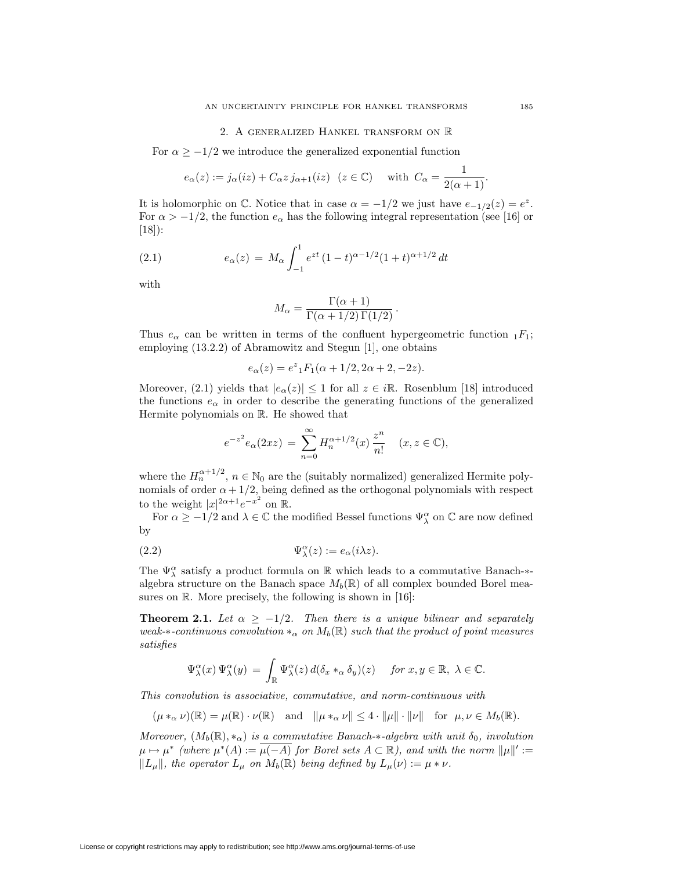### 2. A generalized Hankel transform on R

For  $\alpha \geq -1/2$  we introduce the generalized exponential function

$$
e_{\alpha}(z) := j_{\alpha}(iz) + C_{\alpha}z j_{\alpha+1}(iz) \quad (z \in \mathbb{C}) \quad \text{ with } C_{\alpha} = \frac{1}{2(\alpha+1)}.
$$

It is holomorphic on  $\mathbb{C}$ . Notice that in case  $\alpha = -1/2$  we just have  $e_{-1/2}(z) = e^z$ . For  $\alpha > -1/2$ , the function  $e_{\alpha}$  has the following integral representation (see [16] or [18]):

(2.1) 
$$
e_{\alpha}(z) = M_{\alpha} \int_{-1}^{1} e^{zt} (1-t)^{\alpha - 1/2} (1+t)^{\alpha + 1/2} dt
$$

with

$$
M_{\alpha} = \frac{\Gamma(\alpha + 1)}{\Gamma(\alpha + 1/2)\Gamma(1/2)}.
$$

Thus  $e_{\alpha}$  can be written in terms of the confluent hypergeometric function  ${}_{1}F_{1}$ ; employing (13.2.2) of Abramowitz and Stegun [1], one obtains

$$
e_{\alpha}(z) = e^z {}_1F_1(\alpha + 1/2, 2\alpha + 2, -2z).
$$

Moreover, (2.1) yields that  $|e_\alpha(z)| \leq 1$  for all  $z \in i\mathbb{R}$ . Rosenblum [18] introduced the functions  $e_{\alpha}$  in order to describe the generating functions of the generalized Hermite polynomials on R. He showed that

$$
e^{-z^2}e_{\alpha}(2xz) = \sum_{n=0}^{\infty} H_n^{\alpha+1/2}(x) \frac{z^n}{n!} \quad (x, z \in \mathbb{C}),
$$

where the  $H_n^{\alpha+1/2}$ ,  $n \in \mathbb{N}_0$  are the (suitably normalized) generalized Hermite polynomials of order  $\alpha + 1/2$ , being defined as the orthogonal polynomials with respect to the weight  $|x|^{2\alpha+1}e^{-x^2}$  on R.

For  $\alpha \ge -1/2$  and  $\lambda \in \mathbb{C}$  the modified Bessel functions  $\Psi^\alpha_\lambda$  on  $\mathbb{C}$  are now defined by

(2.2) 
$$
\Psi_{\lambda}^{\alpha}(z) := e_{\alpha}(i\lambda z).
$$

The  $\Psi^\alpha_\lambda$  satisfy a product formula on  $\mathbb R$  which leads to a commutative Banach-*∗*algebra structure on the Banach space  $M_b(\mathbb{R})$  of all complex bounded Borel measures on  $\mathbb{R}$ . More precisely, the following is shown in [16]:

**Theorem 2.1.** Let  $\alpha \geq -1/2$ . Then there is a unique bilinear and separately *weak-*\*-continuous convolution  $*_\alpha$  on  $M_b(\mathbb{R})$  such that the product of point measures *satisfies*

$$
\Psi^\alpha_\lambda(x)\,\Psi^\alpha_\lambda(y) \,=\, \int_\mathbb{R} \Psi^\alpha_\lambda(z)\,d(\delta_x *_\alpha \delta_y)(z) \quad \text{ for } x,y \in \mathbb{R},\,\,\lambda \in \mathbb{C}.
$$

*This convolution is associative, commutative, and norm-continuous with*

$$
(\mu *_{\alpha} \nu)(\mathbb{R}) = \mu(\mathbb{R}) \cdot \nu(\mathbb{R}) \quad \text{and} \quad \|\mu *_{\alpha} \nu\| \leq 4 \cdot \|\mu\| \cdot \|\nu\| \quad \text{for} \quad \mu, \nu \in M_b(\mathbb{R}).
$$

*Moreover,*  $(M_b(\mathbb{R}), *_{\alpha})$  *is a commutative Banach-* $*$ *-algebra with unit*  $\delta_0$ *, involution*  $\mu \mapsto \mu^*$  (where  $\mu^*(A) := \overline{\mu(-A)}$  for Borel sets  $A \subset \mathbb{R}$ ), and with the norm  $\|\mu\|' :=$  $||L_{\mu}||$ , the operator  $L_{\mu}$  on  $M_b(\mathbb{R})$  being defined by  $L_{\mu}(\nu) := \mu * \nu$ .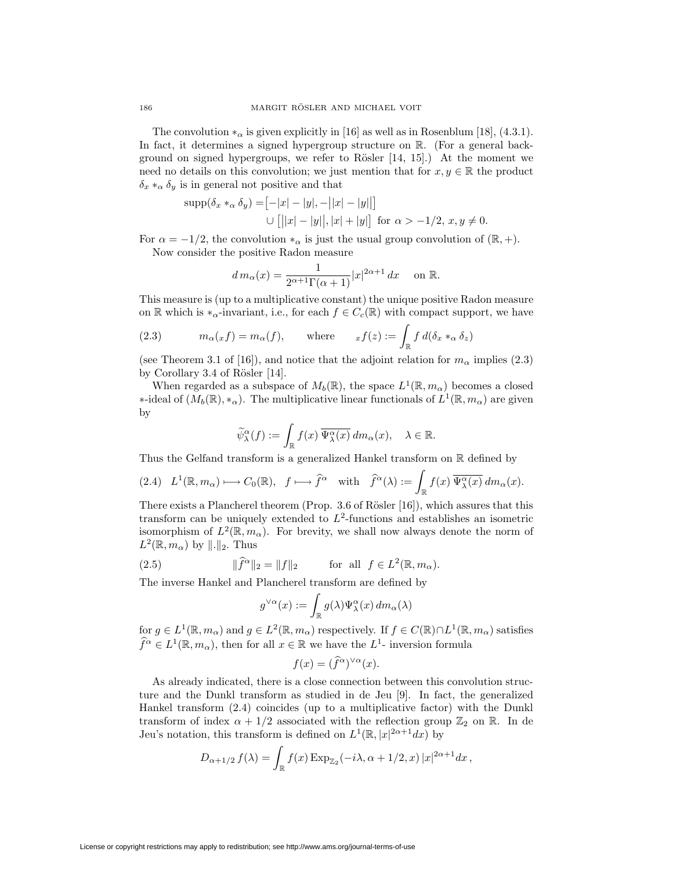The convolution  $*_\alpha$  is given explicitly in [16] as well as in Rosenblum [18], (4.3.1). In fact, it determines a signed hypergroup structure on R. (For a general background on signed hypergroups, we refer to Rösler  $[14, 15]$ .) At the moment we need no details on this convolution; we just mention that for  $x, y \in \mathbb{R}$  the product  $\delta_x *_{\alpha} \delta_y$  is in general not positive and that

$$
\text{supp}(\delta_x *_{\alpha} \delta_y) = [-|x| - |y|, -||x| - |y||]
$$
  
 
$$
\cup [||x| - |y||, |x| + |y|] \text{ for } \alpha > -1/2, x, y \neq 0.
$$

For  $\alpha = -1/2$ , the convolution  $*_\alpha$  is just the usual group convolution of ( $\mathbb{R}, +$ ). Now consider the positive Radon measure

$$
d m_{\alpha}(x) = \frac{1}{2^{\alpha+1}\Gamma(\alpha+1)}|x|^{2\alpha+1} dx \quad \text{ on } \mathbb{R}.
$$

This measure is (up to a multiplicative constant) the unique positive Radon measure on R which is  $*_\alpha$ -invariant, i.e., for each  $f \in C_c(\mathbb{R})$  with compact support, we have

(2.3) 
$$
m_{\alpha}(x f) = m_{\alpha}(f), \quad \text{where} \quad x f(z) := \int_{\mathbb{R}} f d(\delta_x *_{\alpha} \delta_z)
$$

(see Theorem 3.1 of [16]), and notice that the adjoint relation for  $m_\alpha$  implies (2.3) by Corollary 3.4 of Rösler  $[14]$ .

When regarded as a subspace of  $M_b(\mathbb{R})$ , the space  $L^1(\mathbb{R}, m_\alpha)$  becomes a closed *\**-ideal of  $(M_b(\mathbb{R}), *_{\alpha})$ . The multiplicative linear functionals of  $L^1(\mathbb{R}, m_{\alpha})$  are given by

$$
\widetilde{\psi}^\alpha_\lambda(f):=\int_{\mathbb{R}}f(x)\,\overline{\Psi^\alpha_\lambda(x)}\,dm_\alpha(x),\quad \lambda\in\mathbb{R}.
$$

Thus the Gelfand transform is a generalized Hankel transform on  $\mathbb R$  defined by

$$
(2.4) \quad L^1(\mathbb{R}, m_\alpha) \longmapsto C_0(\mathbb{R}), \quad f \longmapsto \widehat{f}^\alpha \quad \text{with} \quad \widehat{f}^\alpha(\lambda) := \int_{\mathbb{R}} f(x) \, \overline{\Psi_\lambda^\alpha(x)} \, dm_\alpha(x).
$$

There exists a Plancherel theorem (Prop. 3.6 of Rösler  $[16]$ ), which assures that this transform can be uniquely extended to  $L^2$ -functions and establishes an isometric isomorphism of  $L^2(\mathbb{R}, m_\alpha)$ . For brevity, we shall now always denote the norm of  $L^2(\mathbb{R}, m_\alpha)$  by  $\|.\|_2$ . Thus

(2.5) 
$$
\|\widehat{f}^{\alpha}\|_2 = \|f\|_2 \quad \text{for all } f \in L^2(\mathbb{R}, m_\alpha).
$$

The inverse Hankel and Plancherel transform are defined by

$$
g^{\vee \alpha}(x) := \int_{\mathbb{R}} g(\lambda) \Psi^{\alpha}_{\lambda}(x) \, dm_{\alpha}(\lambda)
$$

for  $g \in L^1(\mathbb{R}, m_\alpha)$  and  $g \in L^2(\mathbb{R}, m_\alpha)$  respectively. If  $f \in C(\mathbb{R}) \cap L^1(\mathbb{R}, m_\alpha)$  satisfies  $\hat{f}^{\alpha} \in L^1(\mathbb{R}, m_{\alpha})$ , then for all  $x \in \mathbb{R}$  we have the  $L^1$ - inversion formula

$$
f(x) = (\widehat{f}^{\alpha})^{\vee \alpha}(x).
$$

As already indicated, there is a close connection between this convolution structure and the Dunkl transform as studied in de Jeu [9]. In fact, the generalized Hankel transform (2.4) coincides (up to a multiplicative factor) with the Dunkl transform of index  $\alpha + 1/2$  associated with the reflection group  $\mathbb{Z}_2$  on R. In de Jeu's notation, this transform is defined on  $L^1(\mathbb{R}, |x|^{2\alpha+1}dx)$  by

$$
D_{\alpha+1/2} f(\lambda) = \int_{\mathbb{R}} f(x) \exp_{\mathbb{Z}_2}(-i\lambda, \alpha+1/2, x) |x|^{2\alpha+1} dx,
$$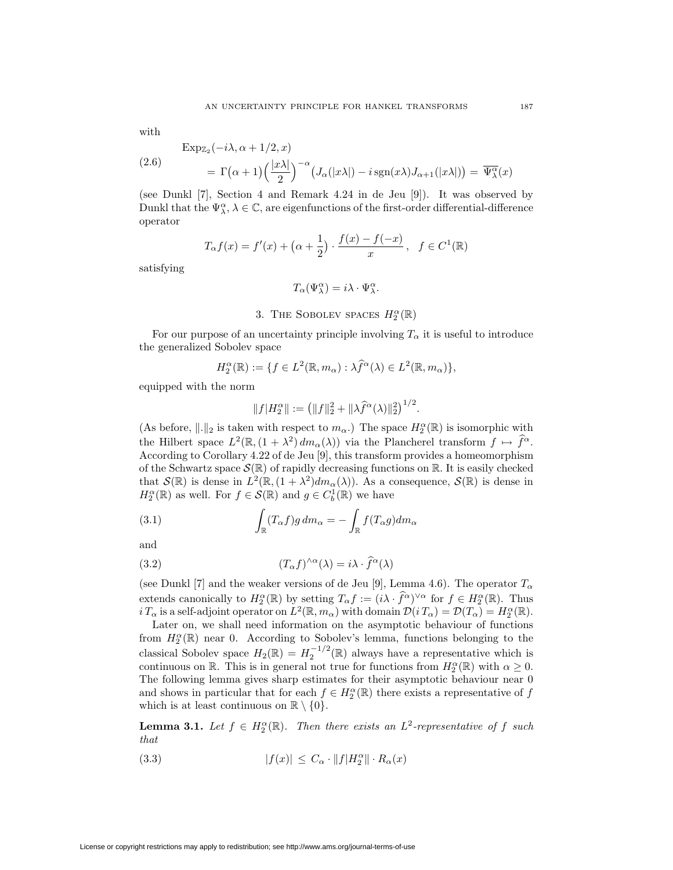with

$$
\begin{aligned} \text{Exp}_{\mathbb{Z}_2}(-i\lambda, \alpha + 1/2, x) \\ &= \Gamma(\alpha + 1) \left(\frac{|x\lambda|}{2}\right)^{-\alpha} \left(J_\alpha(|x\lambda|) - i\operatorname{sgn}(x\lambda)J_{\alpha+1}(|x\lambda|)\right) = \overline{\Psi_\lambda^\alpha}(x) \end{aligned}
$$

(see Dunkl [7], Section 4 and Remark 4.24 in de Jeu [9]). It was observed by Dunkl that the  $\Psi^{\alpha}_{\lambda}$ ,  $\lambda \in \mathbb{C}$ , are eigenfunctions of the first-order differential-difference operator

$$
T_{\alpha}f(x) = f'(x) + (\alpha + \frac{1}{2}) \cdot \frac{f(x) - f(-x)}{x}, \quad f \in C^{1}(\mathbb{R})
$$

satisfying

$$
T_\alpha(\Psi^\alpha_\lambda)=i\lambda\cdot\Psi^\alpha_\lambda.
$$

# 3. The SOBOLEV spaces  $H_2^{\alpha}(\mathbb{R})$

For our purpose of an uncertainty principle involving  $T_{\alpha}$  it is useful to introduce the generalized Sobolev space

$$
H_2^{\alpha}(\mathbb{R}) := \{ f \in L^2(\mathbb{R}, m_{\alpha}) : \lambda \widehat{f}^{\alpha}(\lambda) \in L^2(\mathbb{R}, m_{\alpha}) \},
$$

equipped with the norm

$$
||f|H_2^{\alpha}|| := (||f||_2^2 + ||\lambda \widehat{f}^{\alpha}(\lambda)||_2^2)^{1/2}.
$$

(As before,  $\|.\|_2$  is taken with respect to  $m_\alpha$ .) The space  $H_2^{\alpha}(\mathbb{R})$  is isomorphic with the Hilbert space  $L^2(\mathbb{R}, (1 + \lambda^2) dm_\alpha(\lambda))$  via the Plancherel transform  $f \mapsto f^\alpha$ . According to Corollary 4.22 of de Jeu [9], this transform provides a homeomorphism of the Schwartz space  $\mathcal{S}(\mathbb{R})$  of rapidly decreasing functions on R. It is easily checked that  $\mathcal{S}(\mathbb{R})$  is dense in  $L^2(\mathbb{R}, (1 + \lambda^2)dm_\alpha(\lambda))$ . As a consequence,  $\mathcal{S}(\mathbb{R})$  is dense in  $H_2^{\alpha}(\mathbb{R})$  as well. For  $f \in \mathcal{S}(\mathbb{R})$  and  $g \in C_b^1(\mathbb{R})$  we have

(3.1) 
$$
\int_{\mathbb{R}} (T_{\alpha}f)g \, dm_{\alpha} = -\int_{\mathbb{R}} f(T_{\alpha}g) dm_{\alpha}
$$

and

(3.2) 
$$
(T_{\alpha}f)^{\wedge\alpha}(\lambda) = i\lambda \cdot \widehat{f}^{\alpha}(\lambda)
$$

(see Dunkl [7] and the weaker versions of de Jeu [9], Lemma 4.6). The operator  $T_{\alpha}$ extends canonically to  $H_2^{\alpha}(\mathbb{R})$  by setting  $T_{\alpha}f := (i\lambda \cdot \hat{f}^{\alpha})^{\vee \alpha}$  for  $f \in H_2^{\alpha}(\mathbb{R})$ . Thus i  $T_\alpha$  is a self-adjoint operator on  $L^2(\mathbb{R}, m_\alpha)$  with domain  $\mathcal{D}(i T_\alpha) = \mathcal{D}(T_\alpha) = H_2^\alpha(\mathbb{R})$ .

Later on, we shall need information on the asymptotic behaviour of functions from  $H_2^{\alpha}(\mathbb{R})$  near 0. According to Sobolev's lemma, functions belonging to the classical Sobolev space  $H_2(\mathbb{R}) = H_2^{-1/2}(\mathbb{R})$  always have a representative which is continuous on R. This is in general not true for functions from  $H_2^{\alpha}(\mathbb{R})$  with  $\alpha \geq 0$ . The following lemma gives sharp estimates for their asymptotic behaviour near 0 and shows in particular that for each  $f \in H_2^{\alpha}(\mathbb{R})$  there exists a representative of  $f$ which is at least continuous on  $\mathbb{R} \setminus \{0\}$ .

**Lemma 3.1.** Let  $f \in H_2^{\alpha}(\mathbb{R})$ . Then there exists an  $L^2$ -representative of f such *that*

(3.3) 
$$
|f(x)| \leq C_{\alpha} \cdot ||f| H_2^{\alpha} || \cdot R_{\alpha}(x)
$$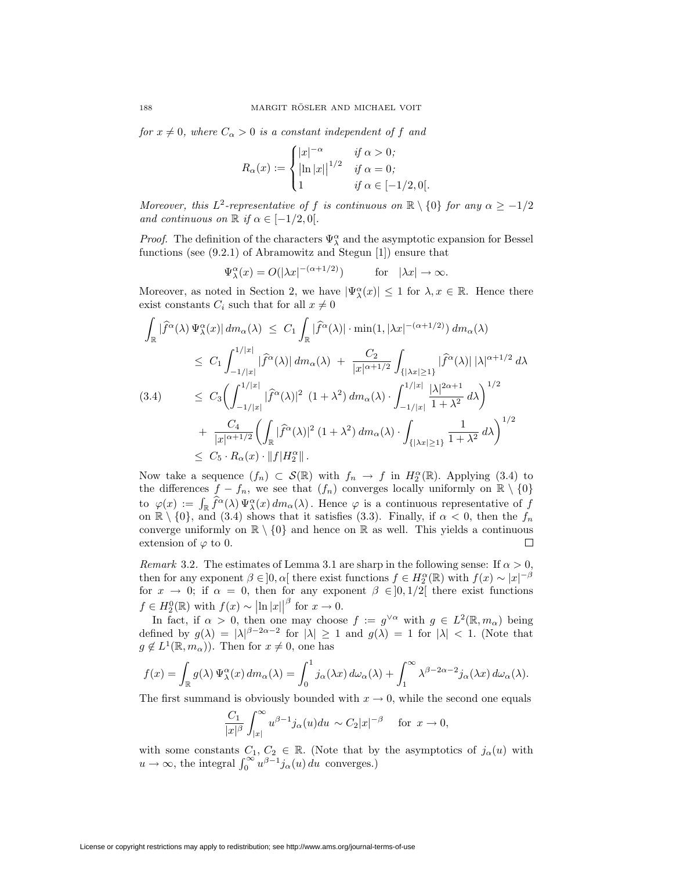*for*  $x \neq 0$ *, where*  $C_{\alpha} > 0$  *is a constant independent of* f *and* 

$$
R_{\alpha}(x) := \begin{cases} |x|^{-\alpha} & \text{if } \alpha > 0; \\ \left| \ln |x| \right|^{1/2} & \text{if } \alpha = 0; \\ 1 & \text{if } \alpha \in [-1/2, 0]. \end{cases}
$$

*Moreover, this*  $L^2$ -representative of f *is continuous on*  $\mathbb{R} \setminus \{0\}$  for any  $\alpha \geq -1/2$ *and continuous on*  $\mathbb{R}$  *if*  $\alpha \in [-1/2, 0].$ 

*Proof.* The definition of the characters  $\Psi^{\alpha}_{\lambda}$  and the asymptotic expansion for Bessel functions (see (9.2.1) of Abramowitz and Stegun [1]) ensure that

$$
\Psi_\lambda^{\alpha}(x) = O(|\lambda x|^{-(\alpha+1/2)}) \quad \text{for} \quad |\lambda x| \to \infty.
$$

Moreover, as noted in Section 2, we have  $|\Psi_{\lambda}^{\alpha}(x)| \leq 1$  for  $\lambda, x \in \mathbb{R}$ . Hence there exist constants  $C_i$  such that for all  $x \neq 0$ 

$$
\int_{\mathbb{R}} |\hat{f}^{\alpha}(\lambda) \Psi_{\lambda}^{\alpha}(x)| dm_{\alpha}(\lambda) \leq C_{1} \int_{\mathbb{R}} |\hat{f}^{\alpha}(\lambda)| \cdot \min(1, |\lambda x|^{-(\alpha+1/2)}) dm_{\alpha}(\lambda)
$$
\n
$$
\leq C_{1} \int_{-1/|x|}^{1/|x|} |\hat{f}^{\alpha}(\lambda)| dm_{\alpha}(\lambda) + \frac{C_{2}}{|x|^{\alpha+1/2}} \int_{\{|\lambda x| \geq 1\}} |\hat{f}^{\alpha}(\lambda)| |\lambda|^{\alpha+1/2} d\lambda
$$
\n(3.4)\n
$$
\leq C_{3} \Biggl( \int_{-1/|x|}^{1/|x|} |\hat{f}^{\alpha}(\lambda)|^{2} (1 + \lambda^{2}) dm_{\alpha}(\lambda) \cdot \int_{-1/|x|}^{1/|x|} \frac{|\lambda|^{2\alpha+1}}{1 + \lambda^{2}} d\lambda \Biggr)^{1/2}
$$
\n
$$
+ \frac{C_{4}}{|x|^{\alpha+1/2}} \Biggl( \int_{\mathbb{R}} |\hat{f}^{\alpha}(\lambda)|^{2} (1 + \lambda^{2}) dm_{\alpha}(\lambda) \cdot \int_{\{|\lambda x| \geq 1\}} \frac{1}{1 + \lambda^{2}} d\lambda \Biggr)^{1/2}
$$
\n
$$
\leq C_{5} \cdot R_{\alpha}(x) \cdot \|f| H_{2}^{\alpha} \|.
$$

Now take a sequence  $(f_n) \subset \mathcal{S}(\mathbb{R})$  with  $f_n \to f$  in  $H_2^{\alpha}(\mathbb{R})$ . Applying (3.4) to the differences  $f - f_n$ , we see that  $(f_n)$  converges locally uniformly on  $\mathbb{R} \setminus \{0\}$ to  $\varphi(x) := \int_{\mathbb{R}} \hat{f}^{\alpha}(\lambda) \Psi^{\alpha}_{\lambda}(x) dm_{\alpha}(\lambda)$ . Hence  $\varphi$  is a continuous representative of f on  $\mathbb{R} \setminus \{0\}$ , and (3.4) shows that it satisfies (3.3). Finally, if  $\alpha < 0$ , then the  $f_n$ converge uniformly on  $\mathbb{R} \setminus \{0\}$  and hence on  $\mathbb{R}$  as well. This yields a continuous extension of  $\varphi$  to 0.  $\Box$ 

*Remark* 3.2. The estimates of Lemma 3.1 are sharp in the following sense: If  $\alpha > 0$ , then for any exponent  $\beta \in ]0, \alpha[$  there exist functions  $f \in H_2^{\alpha}(\mathbb{R})$  with  $f(x) \sim |x|^{-\beta}$ for  $x \to 0$ ; if  $\alpha = 0$ , then for any exponent  $\beta \in ]0,1/2[$  there exist functions  $f \in H_2^0(\mathbb{R})$  with  $f(x) \sim |\ln |x||^\beta$  for  $x \to 0$ .

In fact, if  $\alpha > 0$ , then one may choose  $f := g^{\vee \alpha}$  with  $g \in L^2(\mathbb{R}, m_\alpha)$  being defined by  $g(\lambda) = |\lambda|^{3-2\alpha-2}$  for  $|\lambda| \ge 1$  and  $g(\lambda) = 1$  for  $|\lambda| < 1$ . (Note that  $g \notin L^1(\mathbb{R}, m_\alpha)$ . Then for  $x \neq 0$ , one has

$$
f(x) = \int_{\mathbb{R}} g(\lambda) \Psi_{\lambda}^{\alpha}(x) dm_{\alpha}(\lambda) = \int_{0}^{1} j_{\alpha}(\lambda x) d\omega_{\alpha}(\lambda) + \int_{1}^{\infty} \lambda^{\beta - 2\alpha - 2} j_{\alpha}(\lambda x) d\omega_{\alpha}(\lambda).
$$

The first summand is obviously bounded with  $x \to 0$ , while the second one equals

$$
\frac{C_1}{|x|^\beta}\int_{|x|}^{\infty}u^{\beta-1}j_{\alpha}(u)du \sim C_2|x|^{-\beta} \quad \text{ for } x \to 0,
$$

with some constants  $C_1, C_2 \in \mathbb{R}$ . (Note that by the asymptotics of  $j_\alpha(u)$  with  $u \to \infty$ , the integral  $\int_0^\infty u^{\beta-1} j_\alpha(u) du$  converges.)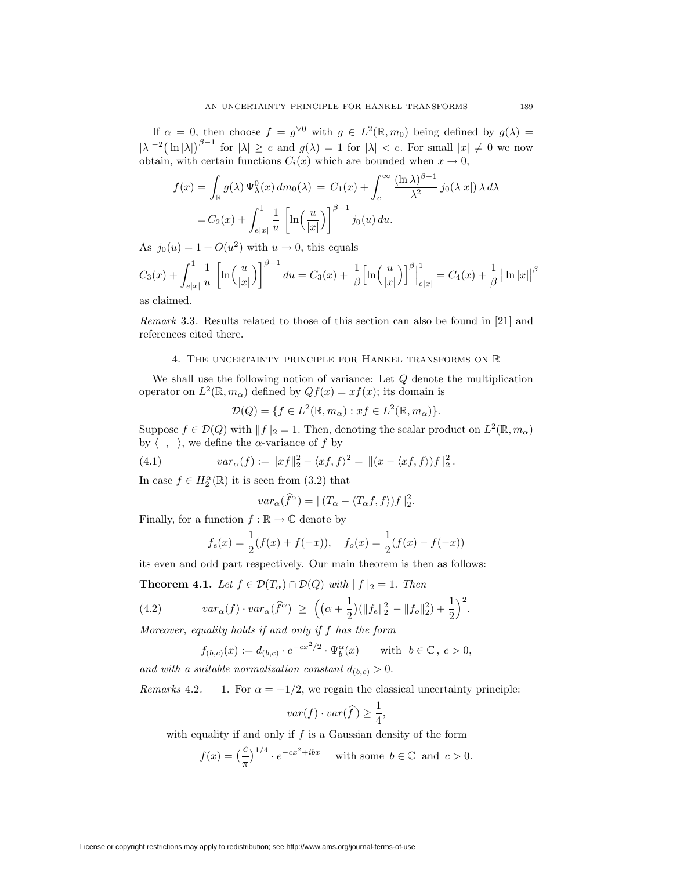If  $\alpha = 0$ , then choose  $f = g^{\vee 0}$  with  $g \in L^2(\mathbb{R}, m_0)$  being defined by  $g(\lambda) =$  $|\lambda|^{-2}(\ln |\lambda|)^{\beta-1}$  for  $|\lambda| \ge e$  and  $g(\lambda) = 1$  for  $|\lambda| < e$ . For small  $|x| \ne 0$  we now obtain, with certain functions  $C_i(x)$  which are bounded when  $x \to 0$ ,

$$
f(x) = \int_{\mathbb{R}} g(\lambda) \Psi_{\lambda}^{0}(x) dm_{0}(\lambda) = C_{1}(x) + \int_{e}^{\infty} \frac{(\ln \lambda)^{\beta - 1}}{\lambda^{2}} j_{0}(\lambda |x|) \lambda d\lambda
$$
  
=  $C_{2}(x) + \int_{e|x|}^{1} \frac{1}{u} \left[ \ln \left( \frac{u}{|x|} \right) \right]^{\beta - 1} j_{0}(u) du.$ 

As  $j_0(u) = 1 + O(u^2)$  with  $u \to 0$ , this equals

$$
C_3(x) + \int_{e|x|}^1 \frac{1}{u} \left[ \ln\left(\frac{u}{|x|}\right) \right]^{\beta - 1} du = C_3(x) + \frac{1}{\beta} \left[ \ln\left(\frac{u}{|x|}\right) \right]^{\beta} \Big|_{e|x|}^1 = C_4(x) + \frac{1}{\beta} \left| \ln|x| \right|^{\beta}
$$

as claimed.

*Remark* 3.3*.* Results related to those of this section can also be found in [21] and references cited there.

# 4. The uncertainty principle for Hankel transforms on R

We shall use the following notion of variance: Let  $Q$  denote the multiplication operator on  $L^2(\mathbb{R}, m_\alpha)$  defined by  $Qf(x) = xf(x)$ ; its domain is

$$
\mathcal{D}(Q) = \{ f \in L^2(\mathbb{R}, m_\alpha) : xf \in L^2(\mathbb{R}, m_\alpha) \}.
$$

Suppose  $f \in \mathcal{D}(Q)$  with  $||f||_2 = 1$ . Then, denoting the scalar product on  $L^2(\mathbb{R}, m_\alpha)$ by  $\langle , \rangle$ , we define the  $\alpha$ -variance of  $f$  by

(4.1) 
$$
var_{\alpha}(f) := ||xf||_2^2 - \langle xf, f \rangle^2 = ||(x - \langle xf, f \rangle)f||_2^2.
$$

In case  $f \in H_2^{\alpha}(\mathbb{R})$  it is seen from (3.2) that

$$
var_{\alpha}(\widehat{f}^{\alpha}) = ||(T_{\alpha} - \langle T_{\alpha}f, f \rangle)f||_{2}^{2}.
$$

Finally, for a function  $f : \mathbb{R} \to \mathbb{C}$  denote by

$$
f_e(x) = \frac{1}{2}(f(x) + f(-x)), \quad f_o(x) = \frac{1}{2}(f(x) - f(-x))
$$

its even and odd part respectively. Our main theorem is then as follows:

**Theorem 4.1.** *Let*  $f \in \mathcal{D}(T_\alpha) \cap \mathcal{D}(Q)$  *with*  $||f||_2 = 1$ . *Then* 

(4.2) 
$$
var_{\alpha}(f) \cdot var_{\alpha}(\widehat{f}^{\alpha}) \geq \left( (\alpha + \frac{1}{2}) (\|f_e\|_2^2 - \|f_o\|_2^2) + \frac{1}{2} \right)^2.
$$

*Moreover, equality holds if and only if* f *has the form*

$$
f_{(b,c)}(x) := d_{(b,c)} \cdot e^{-cx^2/2} \cdot \Psi_b^{\alpha}(x) \quad \text{with } b \in \mathbb{C}, c > 0,
$$

*and with a suitable normalization constant*  $d_{(b,c)} > 0$ .

*Remarks* 4.2. 1. For  $\alpha = -1/2$ , we regain the classical uncertainty principle:

$$
var(f) \cdot var(\hat{f}) \ge \frac{1}{4}
$$

,

with equality if and only if  $f$  is a Gaussian density of the form

$$
f(x) = \left(\frac{c}{\pi}\right)^{1/4} \cdot e^{-cx^2 + ibx}
$$
 with some  $b \in \mathbb{C}$  and  $c > 0$ .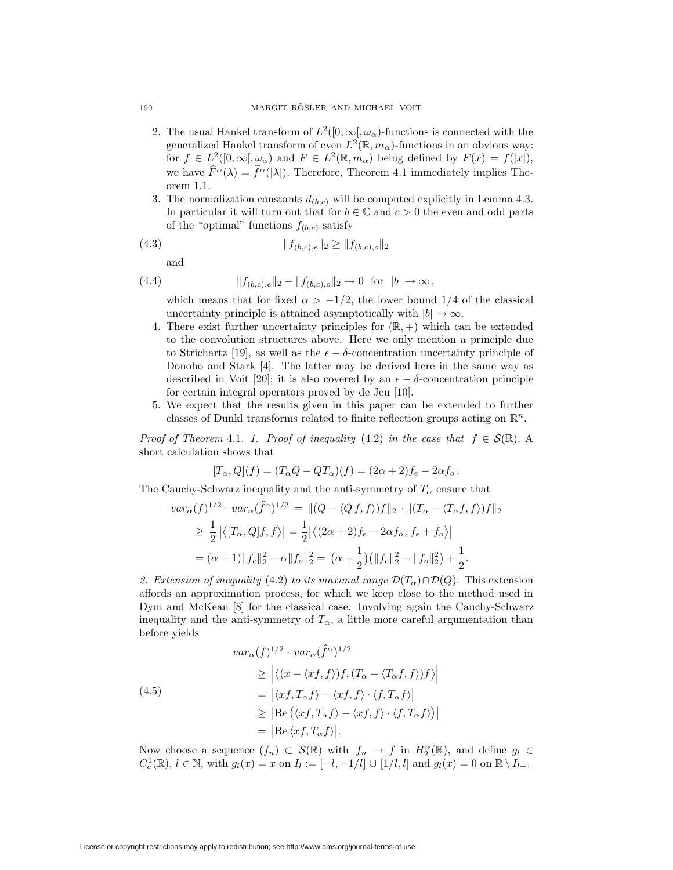- 2. The usual Hankel transform of  $L^2([0,\infty],\omega_\alpha)$ -functions is connected with the generalized Hankel transform of even  $L^2(\mathbb{R}, m_\alpha)$ -functions in an obvious way: for  $f \in L^2([0,\infty[,\omega_\alpha)$  and  $F \in L^2(\mathbb{R},m_\alpha)$  being defined by  $F(x) = f(|x|)$ , we have  $\hat{F}^{\alpha}(\lambda) = \hat{f}^{\alpha}(|\lambda|)$ . Therefore, Theorem 4.1 immediately implies Theorem 1.1.
- 3. The normalization constants  $d_{(b,c)}$  will be computed explicitly in Lemma 4.3. In particular it will turn out that for  $b \in \mathbb{C}$  and  $c > 0$  the even and odd parts of the "optimal" functions  $f_{(b,c)}$  satisfy

(4.3) *k*f(*b,c*)*,ek*<sup>2</sup> *≥ k*f(*b,c*)*,ok*<sup>2</sup>

and

(4.4) 
$$
|| f_{(b,c),e} ||_2 - || f_{(b,c),o} ||_2 \to 0 \text{ for } |b| \to \infty,
$$

which means that for fixed  $\alpha > -1/2$ , the lower bound 1/4 of the classical uncertainty principle is attained asymptotically with  $|b| \to \infty$ .

- 4. There exist further uncertainty principles for  $(\mathbb{R}, +)$  which can be extended to the convolution structures above. Here we only mention a principle due to Strichartz [19], as well as the  $\epsilon - \delta$ -concentration uncertainty principle of Donoho and Stark [4]. The latter may be derived here in the same way as described in Voit [20]; it is also covered by an  $\epsilon - \delta$ -concentration principle for certain integral operators proved by de Jeu [10].
- 5. We expect that the results given in this paper can be extended to further classes of Dunkl transforms related to finite reflection groups acting on R*<sup>n</sup>*.

*Proof of Theorem 4.1. 1. Proof of inequality* (4.2) *in the case that*  $f \in S(\mathbb{R})$ . A short calculation shows that

$$
[T_{\alpha}, Q](f) = (T_{\alpha}Q - QT_{\alpha})(f) = (2\alpha + 2)f_e - 2\alpha f_o.
$$

The Cauchy-Schwarz inequality and the anti-symmetry of  $T_\alpha$  ensure that

$$
var_{\alpha}(f)^{1/2} \cdot var_{\alpha}(\hat{f}^{\alpha})^{1/2} = ||(Q - \langle Qf, f \rangle)f||_2 \cdot ||(T_{\alpha} - \langle T_{\alpha}f, f \rangle)f||_2
$$
  
\n
$$
\geq \frac{1}{2} |\langle [T_{\alpha}, Q]f, f \rangle| = \frac{1}{2} |\langle (2\alpha + 2)f_e - 2\alpha f_o, f_e + f_o \rangle|
$$
  
\n
$$
= (\alpha + 1) ||f_e||_2^2 - \alpha ||f_o||_2^2 = (\alpha + \frac{1}{2}) (||f_e||_2^2 - ||f_o||_2^2) + \frac{1}{2}.
$$

2. Extension of inequality (4.2) *to its maximal range*  $\mathcal{D}(T_\alpha) \cap \mathcal{D}(Q)$ . This extension affords an approximation process, for which we keep close to the method used in Dym and McKean [8] for the classical case. Involving again the Cauchy-Schwarz inequality and the anti-symmetry of  $T_{\alpha}$ , a little more careful argumentation than before yields

(4.5)  
\n
$$
\begin{aligned}\n \text{var}_{\alpha}(f)^{1/2} \cdot \text{var}_{\alpha}(\hat{f}^{\alpha})^{1/2} \\
&\geq \left| \langle (x - \langle xf, f \rangle) f, (T_{\alpha} - \langle T_{\alpha}f, f \rangle) f \rangle \right| \\
&= \left| \langle xf, T_{\alpha}f \rangle - \langle xf, f \rangle \cdot \langle f, T_{\alpha}f \rangle \right| \\
&\geq \left| \text{Re} \left( \langle xf, T_{\alpha}f \rangle - \langle xf, f \rangle \cdot \langle f, T_{\alpha}f \rangle \right) \right| \\
&= \left| \text{Re} \langle xf, T_{\alpha}f \rangle \right|. \n\end{aligned}
$$

Now choose a sequence  $(f_n) \subset \mathcal{S}(\mathbb{R})$  with  $f_n \to f$  in  $H_2^{\alpha}(\mathbb{R})$ , and define  $g_l \in$  $C_c^1(\mathbb{R})$ ,  $l \in \mathbb{N}$ , with  $g_l(x) = x$  on  $I_l := [-l, -1/l]$  ∪  $[1/l, l]$  and  $g_l(x) = 0$  on  $\mathbb{R} \setminus I_{l+1}$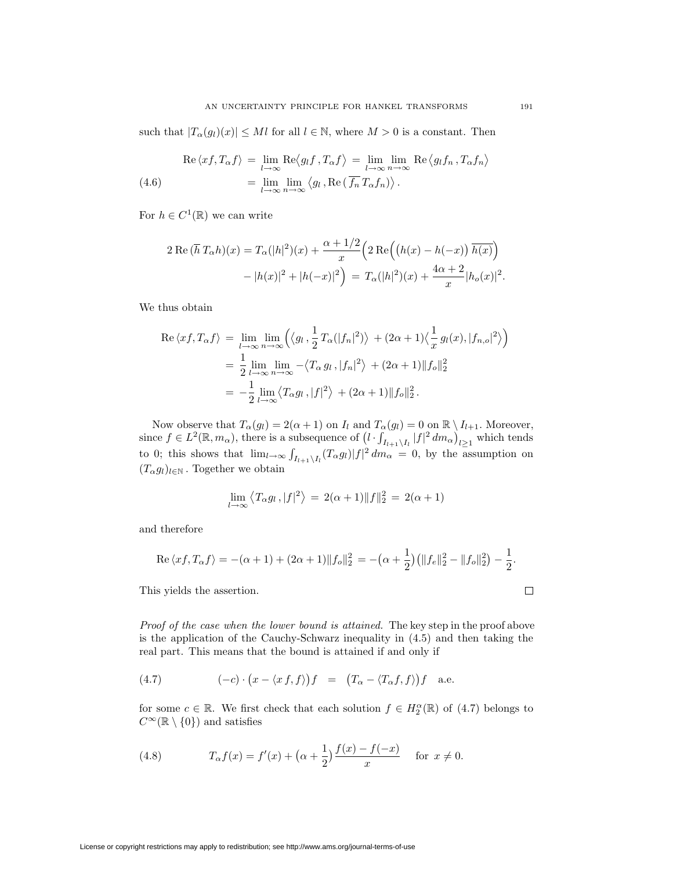such that  $|T_\alpha(g_l)(x)| \leq Ml$  for all  $l \in \mathbb{N}$ , where  $M > 0$  is a constant. Then

(4.6) 
$$
\operatorname{Re}\left\langle xf, T_{\alpha}f\right\rangle = \lim_{l \to \infty} \operatorname{Re}\left\langle g_l f, T_{\alpha} f\right\rangle = \lim_{l \to \infty} \lim_{n \to \infty} \operatorname{Re}\left\langle g_l f_n, T_{\alpha} f_n \right\rangle
$$

$$
= \lim_{l \to \infty} \lim_{n \to \infty} \left\langle g_l, \operatorname{Re}\left(\overline{f_n} T_{\alpha} f_n\right) \right\rangle.
$$

For  $h \in C^1(\mathbb{R})$  we can write

$$
2 \operatorname{Re} (\overline{h} T_{\alpha} h)(x) = T_{\alpha}(|h|^2)(x) + \frac{\alpha + 1/2}{x} \left( 2 \operatorname{Re} \left( (h(x) - h(-x)) \overline{h(x)} \right) - |h(x)|^2 + |h(-x)|^2 \right) = T_{\alpha}(|h|^2)(x) + \frac{4\alpha + 2}{x} |h_o(x)|^2.
$$

We thus obtain

$$
\operatorname{Re}\langle xf, T_{\alpha}f\rangle = \lim_{l \to \infty} \lim_{n \to \infty} \left( \langle g_l, \frac{1}{2} T_{\alpha}(|f_n|^2) \rangle + (2\alpha + 1) \langle \frac{1}{x} g_l(x), |f_{n,o}|^2 \rangle \right)
$$
  
=  $\frac{1}{2} \lim_{l \to \infty} \lim_{n \to \infty} -\langle T_{\alpha} g_l, |f_n|^2 \rangle + (2\alpha + 1) ||f_o||_2^2$   
=  $-\frac{1}{2} \lim_{l \to \infty} \langle T_{\alpha} g_l, |f|^2 \rangle + (2\alpha + 1) ||f_o||_2^2$ .

Now observe that  $T_{\alpha}(g_l) = 2(\alpha + 1)$  on  $I_l$  and  $T_{\alpha}(g_l) = 0$  on  $\mathbb{R} \setminus I_{l+1}$ . Moreover, since  $f \in L^2(\mathbb{R}, m_\alpha)$ , there is a subsequence of  $(l \cdot \int_{I_{l+1} \setminus I_l} |f|^2 dm_\alpha)_{l \geq 1}$  which tends to 0; this shows that  $\lim_{l\to\infty} \int_{I_{l+1}\setminus I_l} (T_\alpha g_l) |f|^2 dm_\alpha = 0$ , by the assumption on  $(T_{\alpha}g_l)_{l \in \mathbb{N}}$ . Together we obtain

$$
\lim_{l \to \infty} \langle T_{\alpha} g_l, |f|^2 \rangle = 2(\alpha + 1) \|f\|_2^2 = 2(\alpha + 1)
$$

and therefore

Re 
$$
\langle xf, T_{\alpha}f \rangle = -(\alpha + 1) + (2\alpha + 1) ||f_{o}||_{2}^{2} = -(\alpha + \frac{1}{2})(||f_{e}||_{2}^{2} - ||f_{o}||_{2}^{2}) - \frac{1}{2}.
$$

This yields the assertion.

*Proof of the case when the lower bound is attained.* The key step in the proof above is the application of the Cauchy-Schwarz inequality in (4.5) and then taking the real part. This means that the bound is attained if and only if

(4.7) 
$$
(-c) \cdot (x - \langle x f, f \rangle) f = (T_{\alpha} - \langle T_{\alpha} f, f \rangle) f \text{ a.e.}
$$

for some  $c \in \mathbb{R}$ . We first check that each solution  $f \in H_2^{\alpha}(\mathbb{R})$  of (4.7) belongs to  $C^{\infty}(\mathbb{R} \setminus \{0\})$  and satisfies

(4.8) 
$$
T_{\alpha}f(x) = f'(x) + (\alpha + \frac{1}{2})\frac{f(x) - f(-x)}{x} \text{ for } x \neq 0.
$$

$$
\Box
$$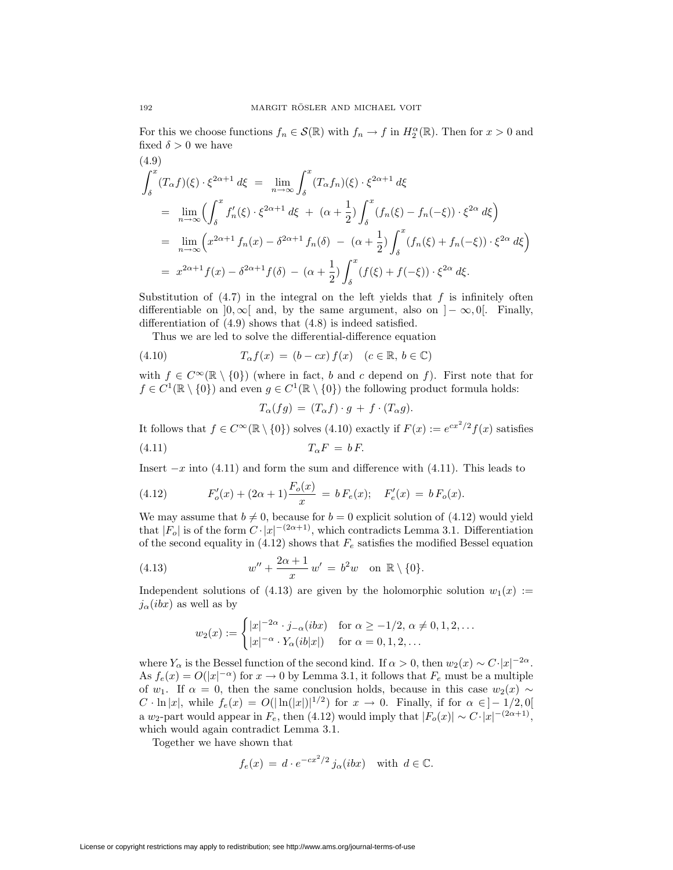For this we choose functions  $f_n \in \mathcal{S}(\mathbb{R})$  with  $f_n \to f$  in  $H_2^{\alpha}(\mathbb{R})$ . Then for  $x > 0$  and fixed  $\delta > 0$  we have

$$
(4.9)
$$
\n
$$
\int_{\delta}^{x} (T_{\alpha}f)(\xi) \cdot \xi^{2\alpha+1} d\xi = \lim_{n \to \infty} \int_{\delta}^{x} (T_{\alpha}f_n)(\xi) \cdot \xi^{2\alpha+1} d\xi
$$
\n
$$
= \lim_{n \to \infty} \left( \int_{\delta}^{x} f'_n(\xi) \cdot \xi^{2\alpha+1} d\xi + (\alpha + \frac{1}{2}) \int_{\delta}^{x} (f_n(\xi) - f_n(-\xi)) \cdot \xi^{2\alpha} d\xi \right)
$$
\n
$$
= \lim_{n \to \infty} \left( x^{2\alpha+1} f_n(x) - \delta^{2\alpha+1} f_n(\delta) - (\alpha + \frac{1}{2}) \int_{\delta}^{x} (f_n(\xi) + f_n(-\xi)) \cdot \xi^{2\alpha} d\xi \right)
$$
\n
$$
= x^{2\alpha+1} f(x) - \delta^{2\alpha+1} f(\delta) - (\alpha + \frac{1}{2}) \int_{\delta}^{x} (f(\xi) + f(-\xi)) \cdot \xi^{2\alpha} d\xi.
$$

Substitution of  $(4.7)$  in the integral on the left yields that f is infinitely often differentiable on  $]0, \infty[$  and, by the same argument, also on  $] - \infty, 0[$ . Finally, differentiation of (4.9) shows that (4.8) is indeed satisfied.

Thus we are led to solve the differential-difference equation

(4.10) 
$$
T_{\alpha}f(x) = (b - cx) f(x) \quad (c \in \mathbb{R}, b \in \mathbb{C})
$$

with  $f \in C^{\infty}(\mathbb{R} \setminus \{0\})$  (where in fact, b and c depend on f). First note that for  $f \in C^1(\mathbb{R} \setminus \{0\})$  and even  $g \in C^1(\mathbb{R} \setminus \{0\})$  the following product formula holds:

$$
T_{\alpha}(fg) = (T_{\alpha}f) \cdot g + f \cdot (T_{\alpha}g).
$$

It follows that  $f \in C^{\infty}(\mathbb{R} \setminus \{0\})$  solves (4.10) exactly if  $F(x) := e^{cx^2/2} f(x)$  satisfies (4.11)  $T_{\alpha}F = bF$ .

Insert *−*x into (4.11) and form the sum and difference with (4.11). This leads to

(4.12) 
$$
F'_{o}(x) + (2\alpha + 1)\frac{F_{o}(x)}{x} = b F_{e}(x); \quad F'_{e}(x) = b F_{o}(x).
$$

We may assume that  $b \neq 0$ , because for  $b = 0$  explicit solution of (4.12) would yield that  $|F_o|$  is of the form  $C \cdot |x|^{-(2\alpha+1)}$ , which contradicts Lemma 3.1. Differentiation of the second equality in  $(4.12)$  shows that  $F_e$  satisfies the modified Bessel equation

(4.13) 
$$
w'' + \frac{2\alpha + 1}{x} w' = b^2 w \text{ on } \mathbb{R} \setminus \{0\}.
$$

Independent solutions of (4.13) are given by the holomorphic solution  $w_1(x) :=$  $j_\alpha(ibx)$  as well as by

$$
w_2(x) := \begin{cases} |x|^{-2\alpha} \cdot j_{-\alpha}(ibx) & \text{for } \alpha \ge -1/2, \, \alpha \ne 0, 1, 2, \dots \\ |x|^{-\alpha} \cdot Y_{\alpha}(ib|x|) & \text{for } \alpha = 0, 1, 2, \dots \end{cases}
$$

where  $Y_\alpha$  is the Bessel function of the second kind. If  $\alpha > 0$ , then  $w_2(x) \sim C \cdot |x|^{-2\alpha}$ . As  $f_e(x) = O(|x|^{-\alpha})$  for  $x \to 0$  by Lemma 3.1, it follows that  $F_e$  must be a multiple of w<sub>1</sub>. If  $\alpha = 0$ , then the same conclusion holds, because in this case  $w_2(x) \sim$  $C \cdot \ln |x|$ , while  $f_e(x) = O(|\ln(|x|)|^{1/2})$  for  $x \to 0$ . Finally, if for  $\alpha \in ]-1/2,0[$ a w<sub>2</sub>-part would appear in  $F_e$ , then (4.12) would imply that  $|F_o(x)| \sim C \cdot |x|^{-(2\alpha+1)}$ , which would again contradict Lemma 3.1.

Together we have shown that

$$
f_e(x) = d \cdot e^{-cx^2/2} j_\alpha(bx)
$$
 with  $d \in \mathbb{C}$ .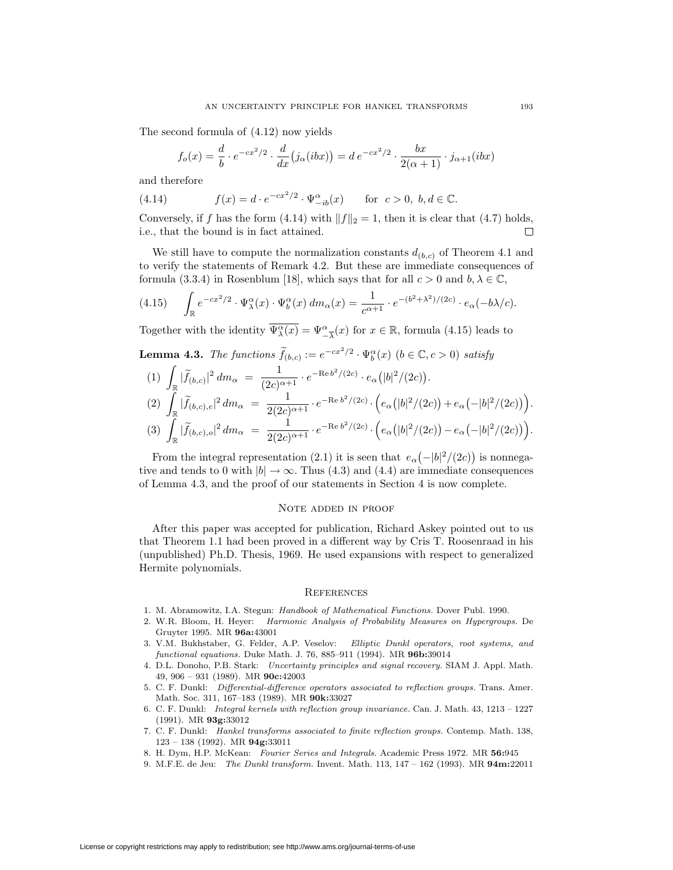The second formula of (4.12) now yields

$$
f_o(x) = \frac{d}{b} \cdot e^{-cx^2/2} \cdot \frac{d}{dx} (j_\alpha(bx)) = d e^{-cx^2/2} \cdot \frac{bx}{2(\alpha+1)} \cdot j_{\alpha+1}(ibx)
$$

and therefore

(4.14)  $f(x) = d \cdot e^{-cx^2/2} \cdot \Psi_{-ib}^{\alpha}(x) \quad \text{for } c > 0, b, d \in \mathbb{C}.$ 

Conversely, if f has the form (4.14) with  $||f||_2 = 1$ , then it is clear that (4.7) holds, i.e., that the bound is in fact attained.  $\Box$ 

We still have to compute the normalization constants  $d_{(b,c)}$  of Theorem 4.1 and to verify the statements of Remark 4.2. But these are immediate consequences of formula (3.3.4) in Rosenblum [18], which says that for all  $c > 0$  and  $b, \lambda \in \mathbb{C}$ ,

$$
(4.15) \qquad \int_{\mathbb{R}} e^{-cx^2/2} \cdot \Psi_{\lambda}^{\alpha}(x) \cdot \Psi_{b}^{\alpha}(x) \, dm_{\alpha}(x) = \frac{1}{c^{\alpha+1}} \cdot e^{-(b^2 + \lambda^2)/(2c)} \cdot e_{\alpha}(-b\lambda/c).
$$

Together with the identity  $\overline{\Psi_{\lambda}^{\alpha}(x)} = \Psi_{-\overline{\lambda}}^{\alpha}(x)$  for  $x \in \mathbb{R}$ , formula (4.15) leads to

**Lemma 4.3.** *The functions*  $\widetilde{f}_{(b,c)} := e^{-cx^2/2} \cdot \Psi_b^{\alpha}(x)$  ( $b \in \mathbb{C}, c > 0$ ) *satisfy* 

$$
(1) \int_{\mathbb{R}} |\tilde{f}_{(b,c)}|^2 dm_{\alpha} = \frac{1}{(2c)^{\alpha+1}} \cdot e^{-\text{Re } b^2/(2c)} \cdot e_{\alpha}(|b|^2/(2c)).
$$
  
\n
$$
(2) \int_{\mathbb{R}} |\tilde{f}_{(b,c),e}|^2 dm_{\alpha} = \frac{1}{2(2c)^{\alpha+1}} \cdot e^{-\text{Re } b^2/(2c)} \cdot \left(e_{\alpha}(|b|^2/(2c)) + e_{\alpha}(-|b|^2/(2c))\right).
$$
  
\n
$$
(3) \int_{\mathbb{R}} |\tilde{f}_{(b,c),o}|^2 dm_{\alpha} = \frac{1}{2(2c)^{\alpha+1}} \cdot e^{-\text{Re } b^2/(2c)} \cdot \left(e_{\alpha}(|b|^2/(2c)) - e_{\alpha}(-|b|^2/(2c))\right).
$$

From the integral representation (2.1) it is seen that  $e_{\alpha}(-|b|^2/(2c))$  is nonnegative and tends to 0 with  $|b| \rightarrow \infty$ . Thus (4.3) and (4.4) are immediate consequences of Lemma 4.3, and the proof of our statements in Section 4 is now complete.

## Note added in proof

After this paper was accepted for publication, Richard Askey pointed out to us that Theorem 1.1 had been proved in a different way by Cris T. Roosenraad in his (unpublished) Ph.D. Thesis, 1969. He used expansions with respect to generalized Hermite polynomials.

### **REFERENCES**

- 1. M. Abramowitz, I.A. Stegun: Handbook of Mathematical Functions. Dover Publ. 1990.
- 2. W.R. Bloom, H. Heyer: Harmonic Analysis of Probability Measures on Hypergroups. De Gruyter 1995. MR **96a:**43001
- 3. V.M. Bukhstaber, G. Felder, A.P. Veselov: Elliptic Dunkl operators, root systems, and functional equations. Duke Math. J. 76, 885–911 (1994). MR **96b:**39014
- 4. D.L. Donoho, P.B. Stark: Uncertainty principles and signal recovery. SIAM J. Appl. Math. 49, 906 – 931 (1989). MR **90c:**42003
- 5. C. F. Dunkl: Differential-difference operators associated to reflection groups. Trans. Amer. Math. Soc. 311, 167–183 (1989). MR **90k:**33027
- 6. C. F. Dunkl: Integral kernels with reflection group invariance. Can. J. Math. 43, 1213 1227 (1991). MR **93g:**33012
- 7. C. F. Dunkl: Hankel transforms associated to finite reflection groups. Contemp. Math. 138, 123 – 138 (1992). MR **94g:**33011
- 8. H. Dym, H.P. McKean: Fourier Series and Integrals. Academic Press 1972. MR **56:**945
- 9. M.F.E. de Jeu: The Dunkl transform. Invent. Math. 113, 147 162 (1993). MR **94m:**22011